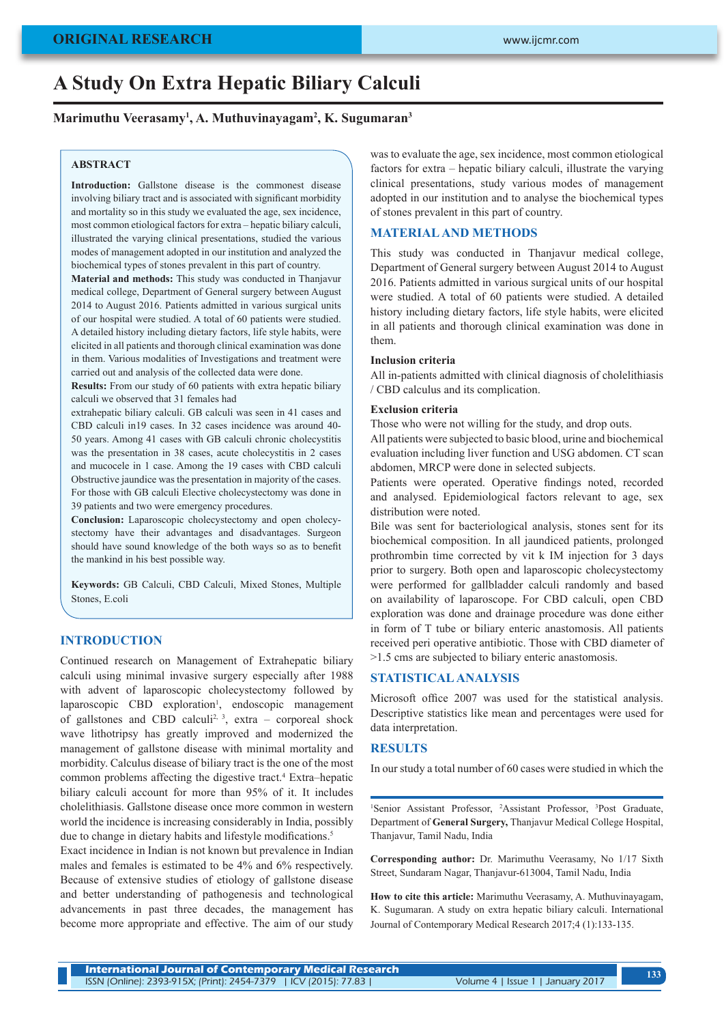# **A Study On Extra Hepatic Biliary Calculi**

### **Marimuthu Veerasamy1 , A. Muthuvinayagam2 , K. Sugumaran3**

### **ABSTRACT**

Introduction: Gallstone disease is the commonest disease involving biliary tract and is associated with significant morbidity and mortality so in this study we evaluated the age, sex incidence, most common etiological factors for extra – hepatic biliary calculi, illustrated the varying clinical presentations, studied the various modes of management adopted in our institution and analyzed the biochemical types of stones prevalent in this part of country.

**Material and methods:** This study was conducted in Thanjavur medical college, Department of General surgery between August 2014 to August 2016. Patients admitted in various surgical units of our hospital were studied. A total of 60 patients were studied. A detailed history including dietary factors, life style habits, were elicited in all patients and thorough clinical examination was done in them. Various modalities of Investigations and treatment were carried out and analysis of the collected data were done.

**Results:** From our study of 60 patients with extra hepatic biliary calculi we observed that 31 females had

extrahepatic biliary calculi. GB calculi was seen in 41 cases and CBD calculi in19 cases. In 32 cases incidence was around 40- 50 years. Among 41 cases with GB calculi chronic cholecystitis was the presentation in 38 cases, acute cholecystitis in 2 cases and mucocele in 1 case. Among the 19 cases with CBD calculi Obstructive jaundice was the presentation in majority of the cases. For those with GB calculi Elective cholecystectomy was done in 39 patients and two were emergency procedures.

**Conclusion:** Laparoscopic cholecystectomy and open cholecystectomy have their advantages and disadvantages. Surgeon should have sound knowledge of the both ways so as to benefit the mankind in his best possible way.

**Keywords:** GB Calculi, CBD Calculi, Mixed Stones, Multiple Stones, E.coli

## **INTRODUCTION**

Continued research on Management of Extrahepatic biliary calculi using minimal invasive surgery especially after 1988 with advent of laparoscopic cholecystectomy followed by laparoscopic CBD exploration<sup>1</sup>, endoscopic management of gallstones and CBD calculi<sup>2, 3</sup>, extra – corporeal shock wave lithotripsy has greatly improved and modernized the management of gallstone disease with minimal mortality and morbidity. Calculus disease of biliary tract is the one of the most common problems affecting the digestive tract.4 Extra–hepatic biliary calculi account for more than 95% of it. It includes cholelithiasis. Gallstone disease once more common in western world the incidence is increasing considerably in India, possibly due to change in dietary habits and lifestyle modifications.<sup>5</sup>

Exact incidence in Indian is not known but prevalence in Indian males and females is estimated to be 4% and 6% respectively. Because of extensive studies of etiology of gallstone disease and better understanding of pathogenesis and technological advancements in past three decades, the management has become more appropriate and effective. The aim of our study was to evaluate the age, sex incidence, most common etiological factors for extra – hepatic biliary calculi, illustrate the varying clinical presentations, study various modes of management adopted in our institution and to analyse the biochemical types of stones prevalent in this part of country.

## **MATERIAL AND METHODS**

This study was conducted in Thanjavur medical college, Department of General surgery between August 2014 to August 2016. Patients admitted in various surgical units of our hospital were studied. A total of 60 patients were studied. A detailed history including dietary factors, life style habits, were elicited in all patients and thorough clinical examination was done in them.

#### **Inclusion criteria**

All in-patients admitted with clinical diagnosis of cholelithiasis / CBD calculus and its complication.

#### **Exclusion criteria**

Those who were not willing for the study, and drop outs. All patients were subjected to basic blood, urine and biochemical evaluation including liver function and USG abdomen. CT scan abdomen, MRCP were done in selected subjects.

Patients were operated. Operative findings noted, recorded and analysed. Epidemiological factors relevant to age, sex distribution were noted.

Bile was sent for bacteriological analysis, stones sent for its biochemical composition. In all jaundiced patients, prolonged prothrombin time corrected by vit k IM injection for 3 days prior to surgery. Both open and laparoscopic cholecystectomy were performed for gallbladder calculi randomly and based on availability of laparoscope. For CBD calculi, open CBD exploration was done and drainage procedure was done either in form of T tube or biliary enteric anastomosis. All patients received peri operative antibiotic. Those with CBD diameter of >1.5 cms are subjected to biliary enteric anastomosis.

#### **STATISTICAL ANALYSIS**

Microsoft office 2007 was used for the statistical analysis. Descriptive statistics like mean and percentages were used for data interpretation.

#### **RESULTS**

In our study a total number of 60 cases were studied in which the

<sup>1</sup>Senior Assistant Professor, <sup>2</sup>Assistant Professor, <sup>3</sup>Post Graduate, Department of **General Surgery,** Thanjavur Medical College Hospital, Thanjavur, Tamil Nadu, India

**Corresponding author:** Dr. Marimuthu Veerasamy, No 1/17 Sixth Street, Sundaram Nagar, Thanjavur-613004, Tamil Nadu, India

**How to cite this article:** Marimuthu Veerasamy, A. Muthuvinayagam, K. Sugumaran. A study on extra hepatic biliary calculi. International Journal of Contemporary Medical Research 2017;4 (1):133-135.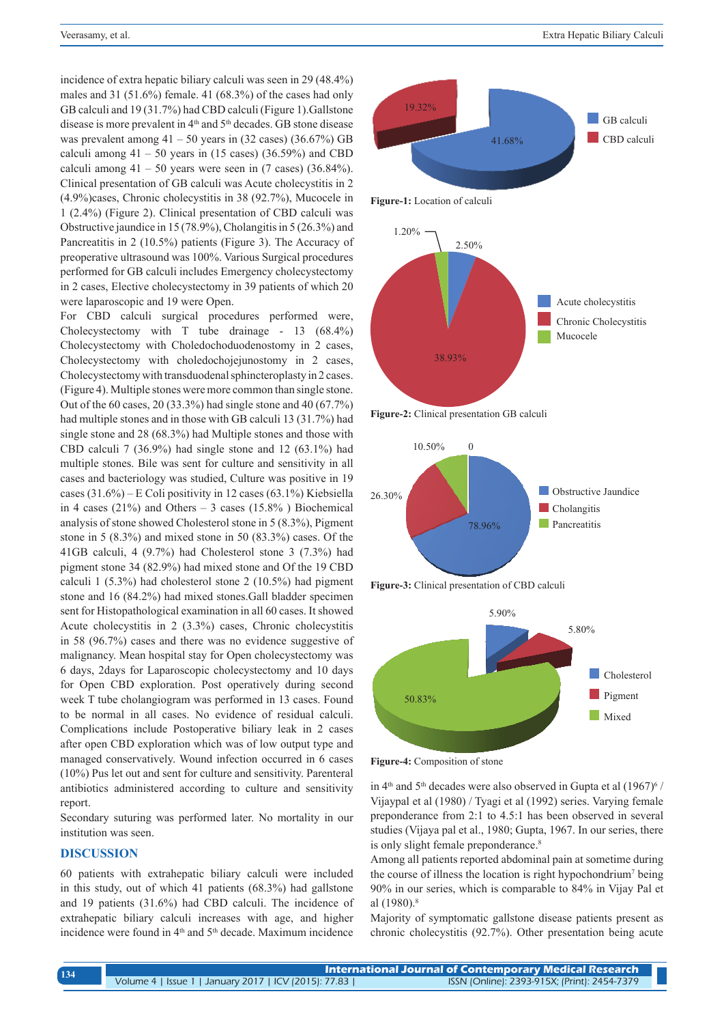incidence of extra hepatic biliary calculi was seen in 29 (48.4%) males and 31 (51.6%) female. 41 (68.3%) of the cases had only GB calculi and 19 (31.7%) had CBD calculi (Figure 1).Gallstone disease is more prevalent in 4<sup>th</sup> and 5<sup>th</sup> decades. GB stone disease was prevalent among  $41 - 50$  years in  $(32 \text{ cases})$   $(36.67\%)$  GB calculi among  $41 - 50$  years in (15 cases) (36.59%) and CBD calculi among  $41 - 50$  years were seen in (7 cases) (36.84%). Clinical presentation of GB calculi was Acute cholecystitis in 2 (4.9%)cases, Chronic cholecystitis in 38 (92.7%), Mucocele in 1 (2.4%) (Figure 2). Clinical presentation of CBD calculi was Obstructive jaundice in 15 (78.9%), Cholangitis in 5 (26.3%) and Pancreatitis in 2 (10.5%) patients (Figure 3). The Accuracy of preoperative ultrasound was 100%. Various Surgical procedures performed for GB calculi includes Emergency cholecystectomy in 2 cases, Elective cholecystectomy in 39 patients of which 20 were laparoscopic and 19 were Open.

For CBD calculi surgical procedures performed were, Cholecystectomy with T tube drainage - 13 (68.4%) Cholecystectomy with Choledochoduodenostomy in 2 cases, Cholecystectomy with choledochojejunostomy in 2 cases, Cholecystectomy with transduodenal sphincteroplasty in 2 cases. (Figure 4). Multiple stones were more common than single stone. Out of the 60 cases, 20 (33.3%) had single stone and 40 (67.7%) had multiple stones and in those with GB calculi 13 (31.7%) had single stone and 28 (68.3%) had Multiple stones and those with CBD calculi 7 (36.9%) had single stone and 12 (63.1%) had multiple stones. Bile was sent for culture and sensitivity in all cases and bacteriology was studied, Culture was positive in 19 cases (31.6%) – E Coli positivity in 12 cases (63.1%) Kiebsiella in 4 cases (21%) and Others  $-3$  cases (15.8%) Biochemical analysis of stone showed Cholesterol stone in 5 (8.3%), Pigment stone in 5 (8.3%) and mixed stone in 50 (83.3%) cases. Of the 41GB calculi, 4 (9.7%) had Cholesterol stone 3 (7.3%) had pigment stone 34 (82.9%) had mixed stone and Of the 19 CBD calculi 1 (5.3%) had cholesterol stone 2 (10.5%) had pigment stone and 16 (84.2%) had mixed stones.Gall bladder specimen sent for Histopathological examination in all 60 cases. It showed Acute cholecystitis in 2 (3.3%) cases, Chronic cholecystitis in 58 (96.7%) cases and there was no evidence suggestive of malignancy. Mean hospital stay for Open cholecystectomy was 6 days, 2days for Laparoscopic cholecystectomy and 10 days for Open CBD exploration. Post operatively during second week T tube cholangiogram was performed in 13 cases. Found to be normal in all cases. No evidence of residual calculi. Complications include Postoperative biliary leak in 2 cases after open CBD exploration which was of low output type and managed conservatively. Wound infection occurred in 6 cases (10%) Pus let out and sent for culture and sensitivity. Parenteral antibiotics administered according to culture and sensitivity report.

Secondary suturing was performed later. No mortality in our institution was seen.

#### **DISCUSSION**

60 patients with extrahepatic biliary calculi were included in this study, out of which 41 patients (68.3%) had gallstone and 19 patients (31.6%) had CBD calculi. The incidence of extrahepatic biliary calculi increases with age, and higher incidence were found in 4<sup>th</sup> and 5<sup>th</sup> decade. Maximum incidence



**Figure-1:** Location of calculi



**Figure-2:** Clinical presentation GB calculi







**Figure-4:** Composition of stone

in  $4<sup>th</sup>$  and  $5<sup>th</sup>$  decades were also observed in Gupta et al  $(1967)^6$  / Vijaypal et al (1980) / Tyagi et al (1992) series. Varying female preponderance from 2:1 to 4.5:1 has been observed in several studies (Vijaya pal et al., 1980; Gupta, 1967. In our series, there is only slight female preponderance.<sup>8</sup>

Among all patients reported abdominal pain at sometime during the course of illness the location is right hypochondrium<sup>7</sup> being 90% in our series, which is comparable to 84% in Vijay Pal et al  $(1980)^8$ 

Majority of symptomatic gallstone disease patients present as chronic cholecystitis (92.7%). Other presentation being acute